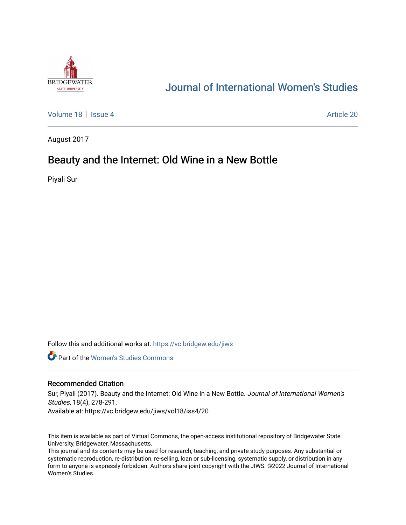

# [Journal of International Women's Studies](https://vc.bridgew.edu/jiws)

[Volume 18](https://vc.bridgew.edu/jiws/vol18) Setsue 4 Article 20

August 2017

# Beauty and the Internet: Old Wine in a New Bottle

Piyali Sur

Follow this and additional works at: [https://vc.bridgew.edu/jiws](https://vc.bridgew.edu/jiws?utm_source=vc.bridgew.edu%2Fjiws%2Fvol18%2Fiss4%2F20&utm_medium=PDF&utm_campaign=PDFCoverPages)

**C** Part of the Women's Studies Commons

### Recommended Citation

Sur, Piyali (2017). Beauty and the Internet: Old Wine in a New Bottle. Journal of International Women's Studies, 18(4), 278-291.

Available at: https://vc.bridgew.edu/jiws/vol18/iss4/20

This item is available as part of Virtual Commons, the open-access institutional repository of Bridgewater State University, Bridgewater, Massachusetts.

This journal and its contents may be used for research, teaching, and private study purposes. Any substantial or systematic reproduction, re-distribution, re-selling, loan or sub-licensing, systematic supply, or distribution in any form to anyone is expressly forbidden. Authors share joint copyright with the JIWS. ©2022 Journal of International Women's Studies.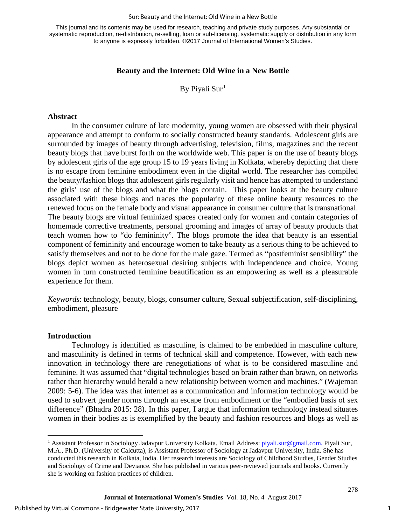#### Sur: Beauty and the Internet: Old Wine in a New Bottle

This journal and its contents may be used for research, teaching and private study purposes. Any substantial or systematic reproduction, re-distribution, re-selling, loan or sub-licensing, systematic supply or distribution in any form to anyone is expressly forbidden. ©2017 Journal of International Women's Studies.

#### **Beauty and the Internet: Old Wine in a New Bottle**

By Piyali Sur<sup>[1](#page-1-0)</sup>

#### **Abstract**

In the consumer culture of late modernity, young women are obsessed with their physical appearance and attempt to conform to socially constructed beauty standards. Adolescent girls are surrounded by images of beauty through advertising, television, films, magazines and the recent beauty blogs that have burst forth on the worldwide web. This paper is on the use of beauty blogs by adolescent girls of the age group 15 to 19 years living in Kolkata, whereby depicting that there is no escape from feminine embodiment even in the digital world. The researcher has compiled the beauty/fashion blogs that adolescent girls regularly visit and hence has attempted to understand the girls' use of the blogs and what the blogs contain. This paper looks at the beauty culture associated with these blogs and traces the popularity of these online beauty resources to the renewed focus on the female body and visual appearance in consumer culture that is transnational. The beauty blogs are virtual feminized spaces created only for women and contain categories of homemade corrective treatments, personal grooming and images of array of beauty products that teach women how to "do femininity". The blogs promote the idea that beauty is an essential component of femininity and encourage women to take beauty as a serious thing to be achieved to satisfy themselves and not to be done for the male gaze. Termed as "postfeminist sensibility" the blogs depict women as heterosexual desiring subjects with independence and choice. Young women in turn constructed feminine beautification as an empowering as well as a pleasurable experience for them.

*Keywords*: technology, beauty, blogs, consumer culture, Sexual subjectification, self-disciplining, embodiment, pleasure

#### **Introduction**

 $\overline{\phantom{a}}$ 

Technology is identified as masculine, is claimed to be embedded in masculine culture, and masculinity is defined in terms of technical skill and competence. However, with each new innovation in technology there are renegotiations of what is to be considered masculine and feminine. It was assumed that "digital technologies based on brain rather than brawn, on networks rather than hierarchy would herald a new relationship between women and machines." (Wajeman 2009: 5-6). The idea was that internet as a communication and information technology would be used to subvert gender norms through an escape from embodiment or the "embodied basis of sex difference" (Bhadra 2015: 28). In this paper, I argue that information technology instead situates women in their bodies as is exemplified by the beauty and fashion resources and blogs as well as

<span id="page-1-0"></span><sup>&</sup>lt;sup>1</sup> Assistant Professor in Sociology Jadavpur University Kolkata. Email Address: *piyali.sur@gmail.com.* Piyali Sur, M.A., Ph.D. (University of Calcutta), is Assistant Professor of Sociology at Jadavpur University, India. She has conducted this research in Kolkata, India. Her research interests are Sociology of Childhood Studies, Gender Studies and Sociology of Crime and Deviance. She has published in various peer-reviewed journals and books. Currently she is working on fashion practices of children.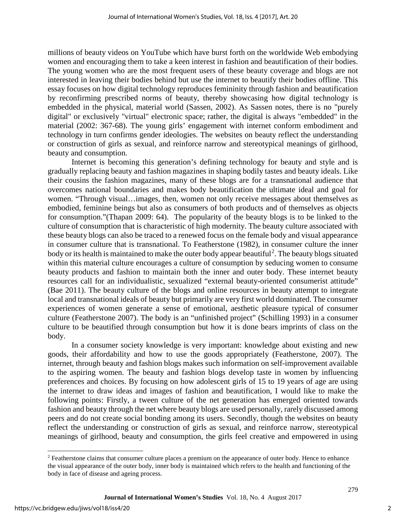millions of beauty videos on YouTube which have burst forth on the worldwide Web embodying women and encouraging them to take a keen interest in fashion and beautification of their bodies. The young women who are the most frequent users of these beauty coverage and blogs are not interested in leaving their bodies behind but use the internet to beautify their bodies offline. This essay focuses on how digital technology reproduces femininity through fashion and beautification by reconfirming prescribed norms of beauty, thereby showcasing how digital technology is embedded in the physical, material world (Sassen, 2002). As Sassen notes, there is no "purely digital" or exclusively "virtual" electronic space; rather, the digital is always "embedded" in the material (2002: 367-68). The young girls' engagement with internet conform embodiment and technology in turn confirms gender ideologies. The websites on beauty reflect the understanding or construction of girls as sexual, and reinforce narrow and stereotypical meanings of girlhood, beauty and consumption.

Internet is becoming this generation's defining technology for beauty and style and is gradually replacing beauty and fashion magazines in shaping bodily tastes and beauty ideals. Like their cousins the fashion magazines, many of these blogs are for a transnational audience that overcomes national boundaries and makes body beautification the ultimate ideal and goal for women. "Through visual…images, then, women not only receive messages about themselves as embodied, feminine beings but also as consumers of both products and of themselves as objects for consumption."(Thapan 2009: 64). The popularity of the beauty blogs is to be linked to the culture of consumption that is characteristic of high modernity. The beauty culture associated with these beauty blogs can also be traced to a renewed focus on the female body and visual appearance in consumer culture that is transnational. To Featherstone (1982), in consumer culture the inner body or its health is maintained to make the outer body appear beautiful<sup>[2](#page-2-0)</sup>. The beauty blogs situated within this material culture encourages a culture of consumption by seducing women to consume beauty products and fashion to maintain both the inner and outer body. These internet beauty resources call for an individualistic, sexualized "external beauty-oriented consumerist attitude" (Bae 2011). The beauty culture of the blogs and online resources in beauty attempt to integrate local and transnational ideals of beauty but primarily are very first world dominated. The consumer experiences of women generate a sense of emotional, aesthetic pleasure typical of consumer culture (Featherstone 2007). The body is an "unfinished project" (Schilling 1993) in a consumer culture to be beautified through consumption but how it is done bears imprints of class on the body.

In a consumer society knowledge is very important: knowledge about existing and new goods, their affordability and how to use the goods appropriately (Featherstone, 2007). The internet, through beauty and fashion blogs makes such information on self-improvement available to the aspiring women. The beauty and fashion blogs develop taste in women by influencing preferences and choices. By focusing on how adolescent girls of 15 to 19 years of age are using the internet to draw ideas and images of fashion and beautification, I would like to make the following points: Firstly, a tween culture of the net generation has emerged oriented towards fashion and beauty through the net where beauty blogs are used personally, rarely discussed among peers and do not create social bonding among its users. Secondly, though the websites on beauty reflect the understanding or construction of girls as sexual, and reinforce narrow, stereotypical meanings of girlhood, beauty and consumption, the girls feel creative and empowered in using

l

<span id="page-2-0"></span><sup>2</sup> Featherstone claims that consumer culture places a premium on the appearance of outer body. Hence to enhance the visual appearance of the outer body, inner body is maintained which refers to the health and functioning of the body in face of disease and ageing process.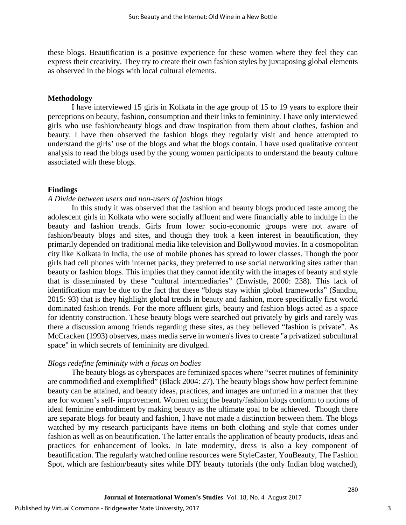these blogs. Beautification is a positive experience for these women where they feel they can express their creativity. They try to create their own fashion styles by juxtaposing global elements as observed in the blogs with local cultural elements.

## **Methodology**

I have interviewed 15 girls in Kolkata in the age group of 15 to 19 years to explore their perceptions on beauty, fashion, consumption and their links to femininity. I have only interviewed girls who use fashion/beauty blogs and draw inspiration from them about clothes, fashion and beauty. I have then observed the fashion blogs they regularly visit and hence attempted to understand the girls' use of the blogs and what the blogs contain. I have used qualitative content analysis to read the blogs used by the young women participants to understand the beauty culture associated with these blogs.

# **Findings**

### *A Divide between users and non-users of fashion blogs*

In this study it was observed that the fashion and beauty blogs produced taste among the adolescent girls in Kolkata who were socially affluent and were financially able to indulge in the beauty and fashion trends. Girls from lower socio-economic groups were not aware of fashion/beauty blogs and sites, and though they took a keen interest in beautification, they primarily depended on traditional media like television and Bollywood movies. In a cosmopolitan city like Kolkata in India, the use of mobile phones has spread to lower classes. Though the poor girls had cell phones with internet packs, they preferred to use social networking sites rather than beauty or fashion blogs. This implies that they cannot identify with the images of beauty and style that is disseminated by these "cultural intermediaries" (Enwistle, 2000: 238). This lack of identification may be due to the fact that these "blogs stay within global frameworks" (Sandhu, 2015: 93) that is they highlight global trends in beauty and fashion, more specifically first world dominated fashion trends. For the more affluent girls, beauty and fashion blogs acted as a space for identity construction. These beauty blogs were searched out privately by girls and rarely was there a discussion among friends regarding these sites, as they believed "fashion is private". As McCracken (1993) observes, mass media serve in women's lives to create "a privatized subcultural space" in which secrets of femininity are divulged.

# *Blogs redefine femininity with a focus on bodies*

The beauty blogs as cyberspaces are feminized spaces where "secret routines of femininity are commodified and exemplified" (Black 2004: 27). The beauty blogs show how perfect feminine beauty can be attained, and beauty ideas, practices, and images are unfurled in a manner that they are for women's self- improvement. Women using the beauty/fashion blogs conform to notions of ideal feminine embodiment by making beauty as the ultimate goal to be achieved. Though there are separate blogs for beauty and fashion, I have not made a distinction between them. The blogs watched by my research participants have items on both clothing and style that comes under fashion as well as on beautification. The latter entails the application of beauty products, ideas and practices for enhancement of looks. In late modernity, dress is also a key component of beautification. The regularly watched online resources were StyleCaster, YouBeauty, The Fashion Spot, which are fashion/beauty sites while DIY beauty tutorials (the only Indian blog watched),

3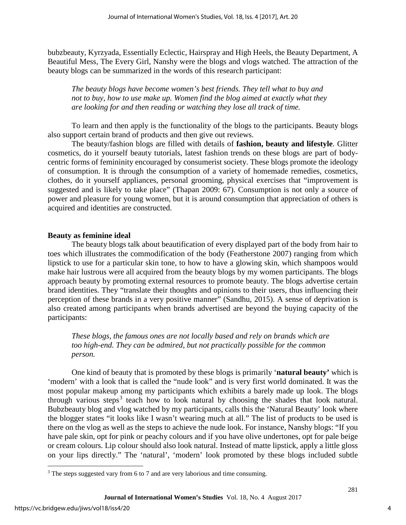bubzbeauty, Kyrzyada, Essentially Eclectic, Hairspray and High Heels, the Beauty Department, A Beautiful Mess, The Every Girl, Nanshy were the blogs and vlogs watched. The attraction of the beauty blogs can be summarized in the words of this research participant:

*The beauty blogs have become women's best friends. They tell what to buy and not to buy, how to use make up. Women find the blog aimed at exactly what they are looking for and then reading or watching they lose all track of time.* 

To learn and then apply is the functionality of the blogs to the participants. Beauty blogs also support certain brand of products and then give out reviews.

The beauty/fashion blogs are filled with details of **fashion, beauty and lifestyle**. Glitter cosmetics, do it yourself beauty tutorials, latest fashion trends on these blogs are part of bodycentric forms of femininity encouraged by consumerist society. These blogs promote the ideology of consumption. It is through the consumption of a variety of homemade remedies, cosmetics, clothes, do it yourself appliances, personal grooming, physical exercises that "improvement is suggested and is likely to take place" (Thapan 2009: 67). Consumption is not only a source of power and pleasure for young women, but it is around consumption that appreciation of others is acquired and identities are constructed.

## **Beauty as feminine ideal**

The beauty blogs talk about beautification of every displayed part of the body from hair to toes which illustrates the commodification of the body (Featherstone 2007) ranging from which lipstick to use for a particular skin tone, to how to have a glowing skin, which shampoos would make hair lustrous were all acquired from the beauty blogs by my women participants. The blogs approach beauty by promoting external resources to promote beauty. The blogs advertise certain brand identities. They "translate their thoughts and opinions to their users, thus influencing their perception of these brands in a very positive manner" (Sandhu, 2015). A sense of deprivation is also created among participants when brands advertised are beyond the buying capacity of the participants:

*These blogs, the famous ones are not locally based and rely on brands which are too high-end. They can be admired, but not practically possible for the common person.* 

One kind of beauty that is promoted by these blogs is primarily '**natural beauty'** which is 'modern' with a look that is called the "nude look" and is very first world dominated. It was the most popular makeup among my participants which exhibits a barely made up look. The blogs through various steps<sup>[3](#page-4-0)</sup> teach how to look natural by choosing the shades that look natural. Bubzbeauty blog and vlog watched by my participants, calls this the 'Natural Beauty' look where the blogger states "it looks like I wasn't wearing much at all." The list of products to be used is there on the vlog as well as the steps to achieve the nude look. For instance, Nanshy blogs: "If you have pale skin, opt for pink or peachy colours and if you have olive undertones, opt for pale beige or cream colours. Lip colour should also look natural. Instead of matte lipstick, apply a little gloss on your lips directly." The 'natural', 'modern' look promoted by these blogs included subtle

l

<span id="page-4-0"></span><sup>&</sup>lt;sup>3</sup> The steps suggested vary from 6 to 7 and are very laborious and time consuming.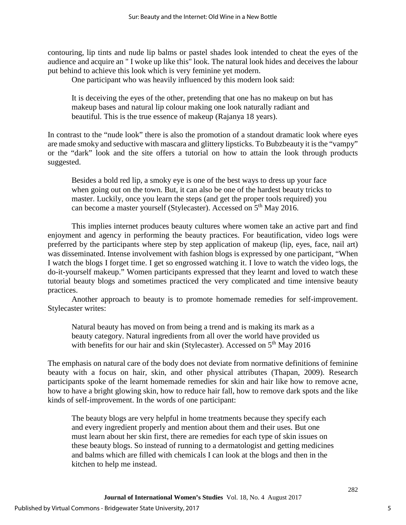contouring, lip tints and nude lip balms or pastel shades look intended to cheat the eyes of the audience and acquire an " I woke up like this" look. The natural look hides and deceives the labour put behind to achieve this look which is very feminine yet modern.

One participant who was heavily influenced by this modern look said:

It is deceiving the eyes of the other, pretending that one has no makeup on but has makeup bases and natural lip colour making one look naturally radiant and beautiful. This is the true essence of makeup (Rajanya 18 years).

In contrast to the "nude look" there is also the promotion of a standout dramatic look where eyes are made smoky and seductive with mascara and glittery lipsticks. To Bubzbeauty it is the "vampy" or the "dark" look and the site offers a tutorial on how to attain the look through products suggested.

Besides a bold red lip, a smoky eye is one of the best ways to dress up your face when going out on the town. But, it can also be one of the hardest beauty tricks to master. Luckily, once you learn the steps (and get the proper tools required) you can become a master yourself (Stylecaster). Accessed on 5<sup>th</sup> May 2016.

This implies internet produces beauty cultures where women take an active part and find enjoyment and agency in performing the beauty practices. For beautification, video logs were preferred by the participants where step by step application of makeup (lip, eyes, face, nail art) was disseminated. Intense involvement with fashion blogs is expressed by one participant, "When I watch the blogs I forget time. I get so engrossed watching it. I love to watch the video logs, the do-it-yourself makeup." Women participants expressed that they learnt and loved to watch these tutorial beauty blogs and sometimes practiced the very complicated and time intensive beauty practices.

Another approach to beauty is to promote homemade remedies for self-improvement. Stylecaster writes:

Natural beauty has moved on from being a trend and is making its mark as a beauty category. Natural ingredients from all over the world have provided us with benefits for our hair and skin (Stylecaster). Accessed on  $5<sup>th</sup>$  May 2016

The emphasis on natural care of the body does not deviate from normative definitions of feminine beauty with a focus on hair, skin, and other physical attributes (Thapan, 2009). Research participants spoke of the learnt homemade remedies for skin and hair like how to remove acne, how to have a bright glowing skin, how to reduce hair fall, how to remove dark spots and the like kinds of self-improvement. In the words of one participant:

The beauty blogs are very helpful in home treatments because they specify each and every ingredient properly and mention about them and their uses. But one must learn about her skin first, there are remedies for each type of skin issues on these beauty blogs. So instead of running to a dermatologist and getting medicines and balms which are filled with chemicals I can look at the blogs and then in the kitchen to help me instead.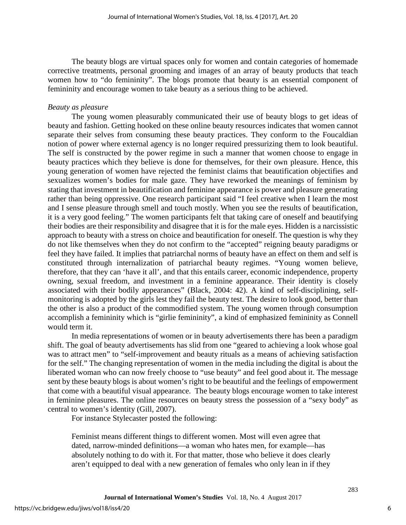The beauty blogs are virtual spaces only for women and contain categories of homemade corrective treatments, personal grooming and images of an array of beauty products that teach women how to "do femininity". The blogs promote that beauty is an essential component of femininity and encourage women to take beauty as a serious thing to be achieved.

# *Beauty as pleasure*

The young women pleasurably communicated their use of beauty blogs to get ideas of beauty and fashion. Getting hooked on these online beauty resources indicates that women cannot separate their selves from consuming these beauty practices. They conform to the Foucaldian notion of power where external agency is no longer required pressurizing them to look beautiful. The self is constructed by the power regime in such a manner that women choose to engage in beauty practices which they believe is done for themselves, for their own pleasure. Hence, this young generation of women have rejected the feminist claims that beautification objectifies and sexualizes women's bodies for male gaze. They have reworked the meanings of feminism by stating that investment in beautification and feminine appearance is power and pleasure generating rather than being oppressive. One research participant said "I feel creative when I learn the most and I sense pleasure through smell and touch mostly. When you see the results of beautification, it is a very good feeling." The women participants felt that taking care of oneself and beautifying their bodies are their responsibility and disagree that it is for the male eyes. Hidden is a narcissistic approach to beauty with a stress on choice and beautification for oneself. The question is why they do not like themselves when they do not confirm to the "accepted" reigning beauty paradigms or feel they have failed. It implies that patriarchal norms of beauty have an effect on them and self is constituted through internalization of patriarchal beauty regimes. "Young women believe, therefore, that they can 'have it all', and that this entails career, economic independence, property owning, sexual freedom, and investment in a feminine appearance. Their identity is closely associated with their bodily appearances" (Black, 2004: 42). A kind of self-disciplining, selfmonitoring is adopted by the girls lest they fail the beauty test. The desire to look good, better than the other is also a product of the commodified system. The young women through consumption accomplish a femininity which is "girlie femininity", a kind of emphasized femininity as Connell would term it.

In media representations of women or in beauty advertisements there has been a paradigm shift. The goal of beauty advertisements has slid from one "geared to achieving a look whose goal was to attract men" to "self-improvement and beauty rituals as a means of achieving satisfaction for the self." The changing representation of women in the media including the digital is about the liberated woman who can now freely choose to "use beauty" and feel good about it. The message sent by these beauty blogs is about women's right to be beautiful and the feelings of empowerment that come with a beautiful visual appearance. The beauty blogs encourage women to take interest in feminine pleasures. The online resources on beauty stress the possession of a "sexy body" as central to women's identity (Gill, 2007).

For instance Stylecaster posted the following:

Feminist means different things to different women. Most will even agree that dated, narrow-minded definitions—a woman who hates men, for example—has absolutely nothing to do with it. For that matter, those who believe it does clearly aren't equipped to deal with a new generation of females who only lean in if they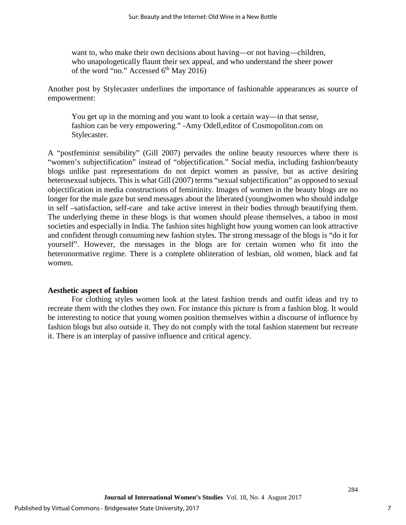want to, who make their own decisions about having—or not having—children, who unapologetically flaunt their sex appeal, and who understand the sheer power of the word "no." Accessed 6<sup>th</sup> May 2016)

Another post by Stylecaster underlines the importance of fashionable appearances as source of empowerment:

You get up in the morning and you want to look a certain way—in that sense, fashion can be very empowering." -Amy Odell,editor of Cosmopoliton.com on Stylecaster.

A "postfeminist sensibility" (Gill 2007) pervades the online beauty resources where there is "women's subjectification" instead of "objectification." Social media, including fashion/beauty blogs unlike past representations do not depict women as passive, but as active desiring heterosexual subjects. This is what Gill (2007) terms "sexual subjectification" as opposed to sexual objectification in media constructions of femininity. Images of women in the beauty blogs are no longer for the male gaze but send messages about the liberated (young)women who should indulge in self –satisfaction, self-care and take active interest in their bodies through beautifying them. The underlying theme in these blogs is that women should please themselves, a taboo in most societies and especially in India. The fashion sites highlight how young women can look attractive and confident through consuming new fashion styles. The strong message of the blogs is "do it for yourself". However, the messages in the blogs are for certain women who fit into the heteronormative regime. There is a complete obliteration of lesbian, old women, black and fat women.

# **Aesthetic aspect of fashion**

For clothing styles women look at the latest fashion trends and outfit ideas and try to recreate them with the clothes they own. For instance this picture is from a fashion blog. It would be interesting to notice that young women position themselves within a discourse of influence by fashion blogs but also outside it. They do not comply with the total fashion statement but recreate it. There is an interplay of passive influence and critical agency.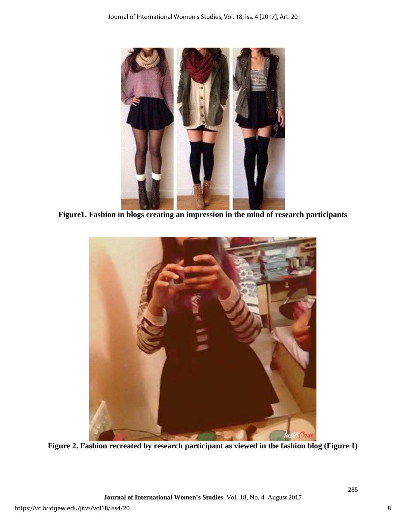

**Figure1. Fashion in blogs creating an impression in the mind of research participants**



**Figure 2. Fashion recreated by research participant as viewed in the fashion blog (Figure 1)**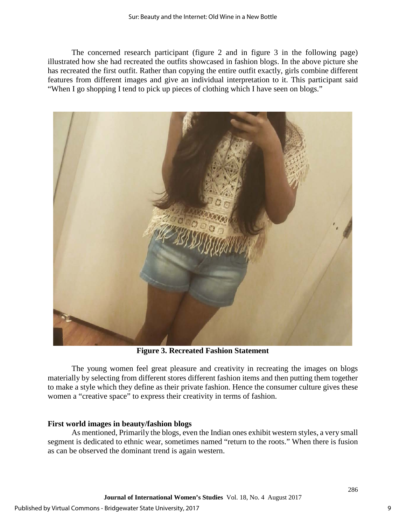The concerned research participant (figure 2 and in figure 3 in the following page) illustrated how she had recreated the outfits showcased in fashion blogs. In the above picture she has recreated the first outfit. Rather than copying the entire outfit exactly, girls combine different features from different images and give an individual interpretation to it. This participant said "When I go shopping I tend to pick up pieces of clothing which I have seen on blogs."



**Figure 3. Recreated Fashion Statement**

The young women feel great pleasure and creativity in recreating the images on blogs materially by selecting from different stores different fashion items and then putting them together to make a style which they define as their private fashion. Hence the consumer culture gives these women a "creative space" to express their creativity in terms of fashion.

# **First world images in beauty/fashion blogs**

As mentioned, Primarily the blogs, even the Indian ones exhibit western styles, a very small segment is dedicated to ethnic wear, sometimes named "return to the roots." When there is fusion as can be observed the dominant trend is again western.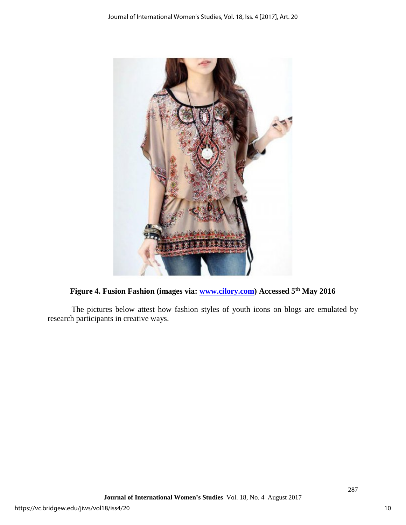

**Figure 4. Fusion Fashion (images via: [www.cilory.com\)](http://www.cilory.com/) Accessed 5th May 2016** 

The pictures below attest how fashion styles of youth icons on blogs are emulated by research participants in creative ways.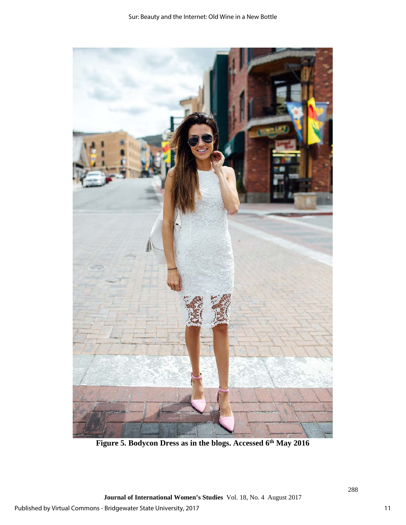

Figure 5. Bodycon Dress as in the blogs. Accessed 6<sup>th</sup> May 2016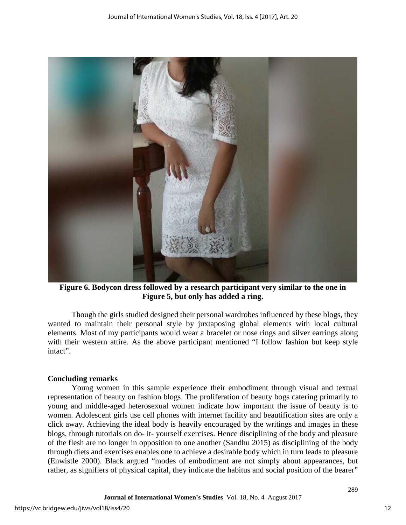

**Figure 6. Bodycon dress followed by a research participant very similar to the one in Figure 5, but only has added a ring.**

Though the girls studied designed their personal wardrobes influenced by these blogs, they wanted to maintain their personal style by juxtaposing global elements with local cultural elements. Most of my participants would wear a bracelet or nose rings and silver earrings along with their western attire. As the above participant mentioned "I follow fashion but keep style intact".

# **Concluding remarks**

Young women in this sample experience their embodiment through visual and textual representation of beauty on fashion blogs. The proliferation of beauty bogs catering primarily to young and middle-aged heterosexual women indicate how important the issue of beauty is to women. Adolescent girls use cell phones with internet facility and beautification sites are only a click away. Achieving the ideal body is heavily encouraged by the writings and images in these blogs, through tutorials on do- it- yourself exercises. Hence disciplining of the body and pleasure of the flesh are no longer in opposition to one another (Sandhu 2015) as disciplining of the body through diets and exercises enables one to achieve a desirable body which in turn leads to pleasure (Enwistle 2000). Black argued "modes of embodiment are not simply about appearances, but rather, as signifiers of physical capital, they indicate the habitus and social position of the bearer"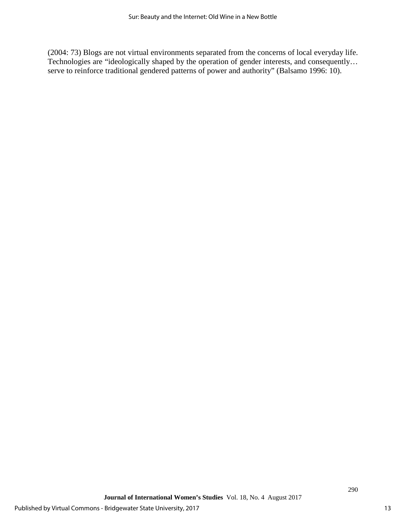(2004: 73) Blogs are not virtual environments separated from the concerns of local everyday life. Technologies are "ideologically shaped by the operation of gender interests, and consequently… serve to reinforce traditional gendered patterns of power and authority" (Balsamo 1996: 10).